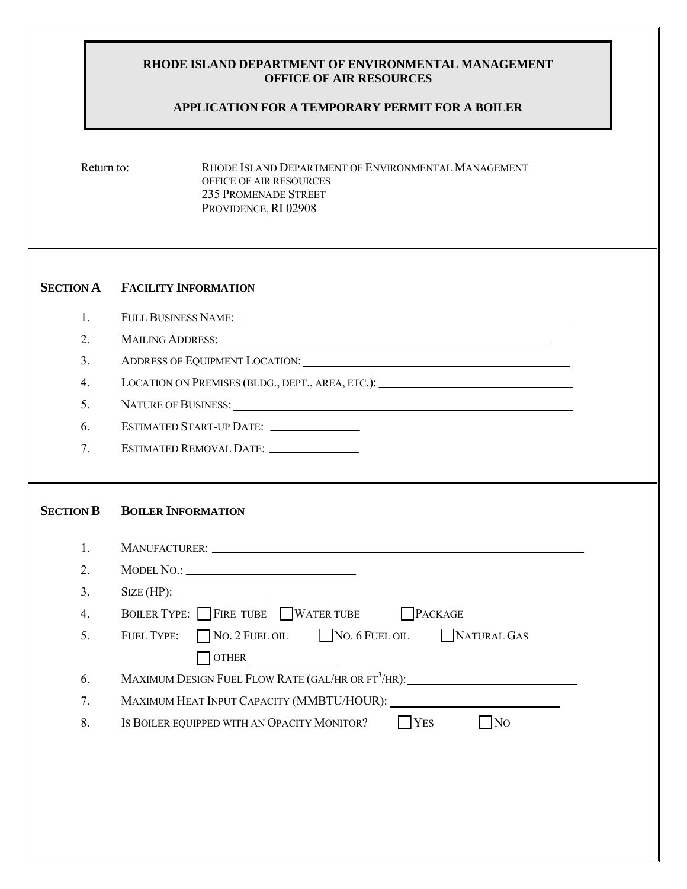## **RHODE ISLAND DEPARTMENT OF ENVIRONMENTAL MANAGEMENT OFFICE OF AIR RESOURCES**

## **APPLICATION FOR A TEMPORARY PERMIT FOR A BOILER**

Return to: RHODE ISLAND DEPARTMENT OF ENVIRONMENTAL MANAGEMENT OFFICE OF AIR RESOURCES 235 PROMENADE STREET PROVIDENCE, RI 02908

## **SECTION A FACILITY INFORMATION**

| ., | FULL BUSINESS NAME: |  |
|----|---------------------|--|
|    |                     |  |

2. MAILING ADDRESS:

3. ADDRESS OF EQUIPMENT LOCATION:

4. LOCATION ON PREMISES (BLDG., DEPT., AREA, ETC.):

- 5. NATURE OF BUSINESS:
- 6. ESTIMATED START-UP DATE:
- 7. ESTIMATED REMOVAL DATE:

## **SECTION B BOILER INFORMATION**

| $\mathbf{1}$ . |                                                                                         |
|----------------|-----------------------------------------------------------------------------------------|
| 2.             |                                                                                         |
| 3 <sub>1</sub> | $\text{SIZE (HP):}$                                                                     |
| 4.             | BOILER TYPE: FIRE TUBE WATER TUBE PACKAGE                                               |
| 5.             | FUEL TYPE: NO. 2 FUEL OIL NO. 6 FUEL OIL NATURAL GAS                                    |
|                | $\overline{\phantom{a}}$ OTHER                                                          |
| 6.             | MAXIMUM DESIGN FUEL FLOW RATE (GAL/HR OR FT <sup>3</sup> /HR): $\overline{\phantom{a}}$ |
| 7.             |                                                                                         |
| 8.             | IS BOILER EQUIPPED WITH AN OPACITY MONITOR?<br><b>YES</b><br>N <sub>O</sub>             |